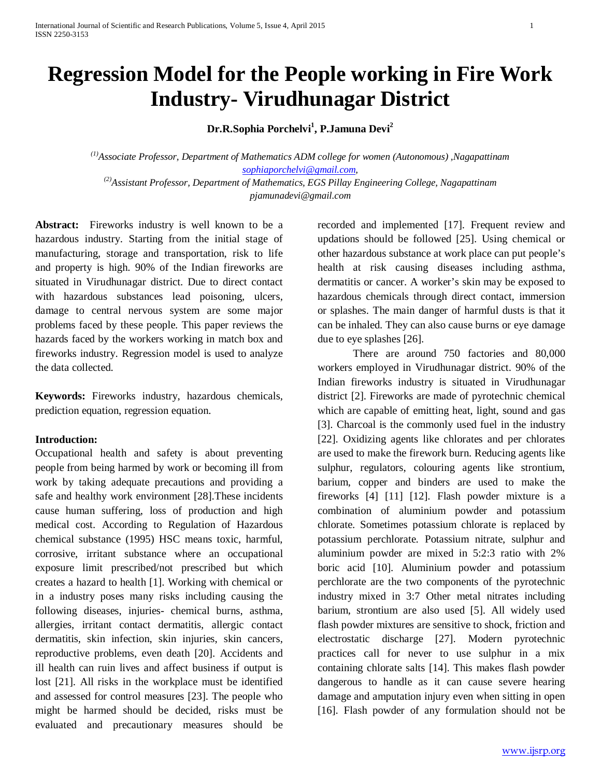# **Regression Model for the People working in Fire Work Industry- Virudhunagar District**

**Dr.R.Sophia Porchelvi1 , P.Jamuna Devi2**

*(1)Associate Professor, Department of Mathematics ADM college for women (Autonomous) ,Nagapattinam [sophiaporchelvi@gmail.com,](mailto:sophiaporchelvi@gmail.com) (2)Assistant Professor, Department of Mathematics, EGS Pillay Engineering College, Nagapattinam*

*pjamunadevi@gmail.com*

Abstract: Fireworks industry is well known to be a hazardous industry. Starting from the initial stage of manufacturing, storage and transportation, risk to life and property is high. 90% of the Indian fireworks are situated in Virudhunagar district. Due to direct contact with hazardous substances lead poisoning, ulcers, damage to central nervous system are some major problems faced by these people. This paper reviews the hazards faced by the workers working in match box and fireworks industry. Regression model is used to analyze the data collected.

**Keywords:** Fireworks industry, hazardous chemicals, prediction equation, regression equation.

#### **Introduction:**

Occupational health and safety is about preventing people from being harmed by work or becoming ill from work by taking adequate precautions and providing a safe and healthy work environment [28].These incidents cause human suffering, loss of production and high medical cost. According to Regulation of Hazardous chemical substance (1995) HSC means toxic, harmful, corrosive, irritant substance where an occupational exposure limit prescribed/not prescribed but which creates a hazard to health [1]. Working with chemical or in a industry poses many risks including causing the following diseases, injuries- chemical burns, asthma, allergies, irritant contact dermatitis, allergic contact dermatitis, skin infection, skin injuries, skin cancers, reproductive problems, even death [20]. Accidents and ill health can ruin lives and affect business if output is lost [21]. All risks in the workplace must be identified and assessed for control measures [23]. The people who might be harmed should be decided, risks must be evaluated and precautionary measures should be

recorded and implemented [17]. Frequent review and updations should be followed [25]. Using chemical or other hazardous substance at work place can put people's health at risk causing diseases including asthma, dermatitis or cancer. A worker's skin may be exposed to hazardous chemicals through direct contact, immersion or splashes. The main danger of harmful dusts is that it can be inhaled. They can also cause burns or eye damage due to eye splashes [26].

There are around 750 factories and 80,000 workers employed in Virudhunagar district. 90% of the Indian fireworks industry is situated in Virudhunagar district [2]. Fireworks are made of pyrotechnic chemical which are capable of emitting heat, light, sound and gas [3]. Charcoal is the commonly used fuel in the industry [22]. Oxidizing agents like chlorates and per chlorates are used to make the firework burn. Reducing agents like sulphur, regulators, colouring agents like strontium, barium, copper and binders are used to make the fireworks [4] [11] [12]. Flash powder mixture is a combination of aluminium powder and potassium chlorate. Sometimes potassium chlorate is replaced by potassium perchlorate. Potassium nitrate, sulphur and aluminium powder are mixed in 5:2:3 ratio with 2% boric acid [10]. Aluminium powder and potassium perchlorate are the two components of the pyrotechnic industry mixed in 3:7 Other metal nitrates including barium, strontium are also used [5]. All widely used flash powder mixtures are sensitive to shock, friction and electrostatic discharge [27]. Modern pyrotechnic practices call for never to use sulphur in a mix containing chlorate salts [14]. This makes flash powder dangerous to handle as it can cause severe hearing damage and amputation injury even when sitting in open [16]. Flash powder of any formulation should not be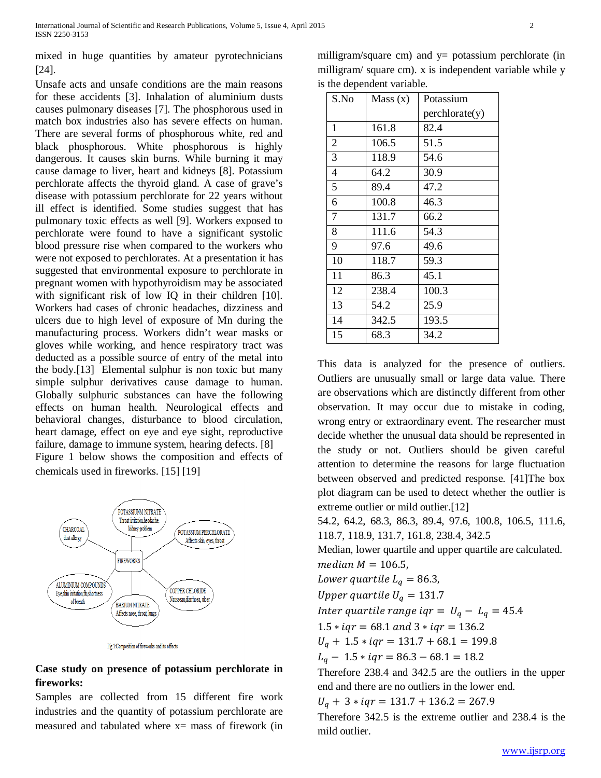mixed in huge quantities by amateur pyrotechnicians [24].

Unsafe acts and unsafe conditions are the main reasons for these accidents [3]. Inhalation of aluminium dusts causes pulmonary diseases [7]. The phosphorous used in match box industries also has severe effects on human. There are several forms of phosphorous white, red and black phosphorous. White phosphorous is highly dangerous. It causes skin burns. While burning it may cause damage to liver, heart and kidneys [8]. Potassium perchlorate affects the thyroid gland. A case of grave's disease with potassium perchlorate for 22 years without ill effect is identified. Some studies suggest that has pulmonary toxic effects as well [9]. Workers exposed to perchlorate were found to have a significant systolic blood pressure rise when compared to the workers who were not exposed to perchlorates. At a presentation it has suggested that environmental exposure to perchlorate in pregnant women with hypothyroidism may be associated with significant risk of low IQ in their children [10]. Workers had cases of chronic headaches, dizziness and ulcers due to high level of exposure of Mn during the manufacturing process. Workers didn't wear masks or gloves while working, and hence respiratory tract was deducted as a possible source of entry of the metal into the body.[13] Elemental sulphur is non toxic but many simple sulphur derivatives cause damage to human. Globally sulphuric substances can have the following effects on human health. Neurological effects and behavioral changes, disturbance to blood circulation, heart damage, effect on eye and eye sight, reproductive failure, damage to immune system, hearing defects. [8] Figure 1 below shows the composition and effects of chemicals used in fireworks. [15] [19]



Fig 1:Composition of fireworks and its effects

# **Case study on presence of potassium perchlorate in fireworks:**

Samples are collected from 15 different fire work industries and the quantity of potassium perchlorate are measured and tabulated where  $x=$  mass of firework (in

milligram/square cm) and  $y =$  potassium perchlorate (in milligram/ square cm). x is independent variable while y is the dependent variable.

| S.No           | Mass(x) | Potassium      |
|----------------|---------|----------------|
|                |         | perchlorate(y) |
| $\mathbf{1}$   | 161.8   | 82.4           |
| $\overline{2}$ | 106.5   | 51.5           |
| $\overline{3}$ | 118.9   | 54.6           |
| $\overline{4}$ | 64.2    | 30.9           |
| 5              | 89.4    | 47.2           |
| 6              | 100.8   | 46.3           |
| $\overline{7}$ | 131.7   | 66.2           |
| 8              | 111.6   | 54.3           |
| 9              | 97.6    | 49.6           |
| 10             | 118.7   | 59.3           |
| 11             | 86.3    | 45.1           |
| 12             | 238.4   | 100.3          |
| 13             | 54.2    | 25.9           |
| 14             | 342.5   | 193.5          |
| 15             | 68.3    | 34.2           |

This data is analyzed for the presence of outliers. Outliers are unusually small or large data value. There are observations which are distinctly different from other observation. It may occur due to mistake in coding, wrong entry or extraordinary event. The researcher must decide whether the unusual data should be represented in the study or not. Outliers should be given careful attention to determine the reasons for large fluctuation between observed and predicted response. [41]The box plot diagram can be used to detect whether the outlier is extreme outlier or mild outlier.[12]

54.2, 64.2, 68.3, 86.3, 89.4, 97.6, 100.8, 106.5, 111.6, 118.7, 118.9, 131.7, 161.8, 238.4, 342.5

Median, lower quartile and upper quartile are calculated. median  $M = 106.5$ ,

Lower quartile  $L_a = 86.3$ ,

Upper quartile  $U_q = 131.7$ 

Inter quartile range iqr =  $U_a - L_a = 45.4$ 

 $1.5 * iqr = 68.1$  and  $3 * iqr = 136.2$ 

 $U_a + 1.5 * iqr = 131.7 + 68.1 = 199.8$ 

 $L_q - 1.5 * iqr = 86.3 - 68.1 = 18.2$ 

Therefore 238.4 and 342.5 are the outliers in the upper end and there are no outliers in the lower end.

 $U_q$  + 3 \*  $iqr$  = 131.7 + 136.2 = 267.9

Therefore 342.5 is the extreme outlier and 238.4 is the mild outlier.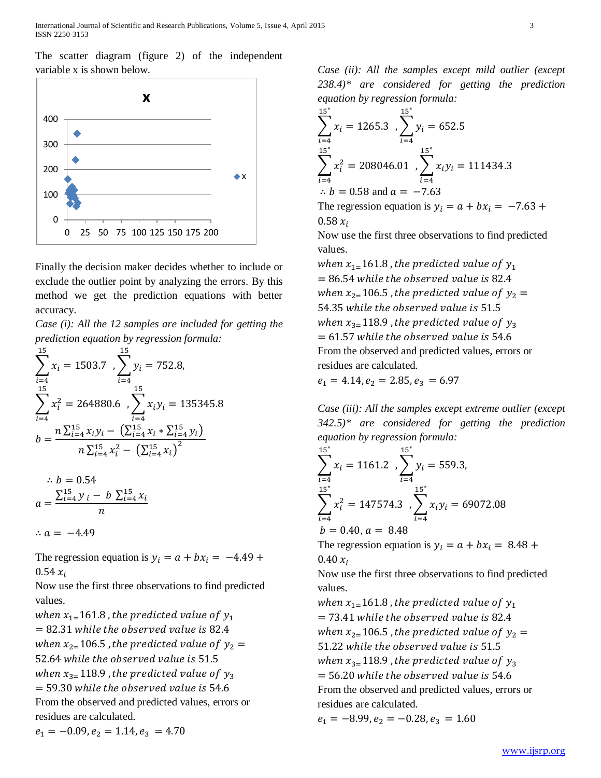International Journal of Scientific and Research Publications, Volume 5, Issue 4, April 2015 3 ISSN 2250-3153

The scatter diagram (figure 2) of the independent variable x is shown below.



Finally the decision maker decides whether to include or exclude the outlier point by analyzing the errors. By this method we get the prediction equations with better accuracy.

*Case (i): All the 12 samples are included for getting the prediction equation by regression formula:*

$$
\sum_{i=4}^{15} x_i = 1503.7 \sum_{i=4}^{15} y_i = 752.8,
$$
  

$$
\sum_{i=4}^{15} x_i^2 = 264880.6 \sum_{i=4}^{15} x_i y_i = 135345.8
$$
  

$$
b = \frac{n \sum_{i=4}^{15} x_i y_i - (\sum_{i=4}^{15} x_i \times \sum_{i=4}^{15} y_i)}{n \sum_{i=4}^{15} x_i^2 - (\sum_{i=4}^{15} x_i)^2}
$$

$$
\therefore b = 0.54
$$
  

$$
a = \frac{\sum_{i=4}^{15} y_i - b \sum_{i=4}^{15} x_i}{n}
$$

∴  $a = -4.49$ 

The regression equation is  $y_i = a + bx_i = -4.49 +$  $0.54 x_i$ 

Now use the first three observations to find predicted values.

when  $x_{1}$ =161.8, the predicted value of  $y_1$  $= 82.31$  while the observed value is 82.4 when  $x_{2}=106.5$ , the predicted value of  $y_2 =$ 52.64 while the observed value is 51.5 when  $x_{3=}$ 118.9, the predicted value of  $y_3$  $= 59.30$  while the observed value is 54.6 From the observed and predicted values, errors or residues are calculated.

 $e_1 = -0.09, e_2 = 1.14, e_3 = 4.70$ 

*Case (ii): All the samples except mild outlier (except 238.4)\* are considered for getting the prediction equation by regression formula:*

$$
\sum_{i=4}^{15^{*}} x_{i} = 1265.3 \sum_{i=4}^{15^{*}} y_{i} = 652.5
$$
  

$$
\sum_{i=4}^{15^{*}} x_{i}^{2} = 208046.01 \sum_{i=4}^{15^{*}} x_{i}y_{i} = 111434.3
$$
  
 $\therefore b = 0.58 \text{ and } a = -7.63$ 

The regression equation is  $y_i = a + bx_i = -7.63 +$  $0.58 x_i$ 

Now use the first three observations to find predicted values.

when  $x_{1}$ =161.8, the predicted value of  $y_1$  $= 86.54$  while the observed value is 82.4 when  $x_{2=}106.5$  , the predicted value of  $y_2 =$ 54.35 while the observed value is 51.5 when  $x_{3=}118.9$ , the predicted value of  $y_3$  $= 61.57$  while the observed value is 54.6 From the observed and predicted values, errors or residues are calculated.

 $e_1 = 4.14, e_2 = 2.85, e_3 = 6.97$ 

*Case (iii): All the samples except extreme outlier (except 342.5)\* are considered for getting the prediction equation by regression formula:*

$$
\sum_{i=4}^{15^{*}} x_{i} = 1161.2 \sum_{i=4}^{15^{*}} y_{i} = 559.3,
$$
  

$$
\sum_{i=4}^{15^{*}} x_{i}^{2} = 147574.3 \sum_{i=4}^{15^{*}} x_{i}y_{i} = 69072.08
$$
  

$$
b = 0.40, a = 8.48
$$

The regression equation is  $y_i = a + bx_i = 8.48 +$  $0.40 x_i$ 

Now use the first three observations to find predicted values.

when  $x_{1=}$ 161.8, the predicted value of  $y_1$  $= 73.41$  while the observed value is 82.4 when  $x_{2}=106.5$ , the predicted value of  $y_{2}=$ 51.22 while the observed value is 51.5 when  $x_{3=}118.9$ , the predicted value of  $y_3$  $= 56.20$  while the observed value is 54.6 From the observed and predicted values, errors or residues are calculated.

 $e_1 = -8.99, e_2 = -0.28, e_3 = 1.60$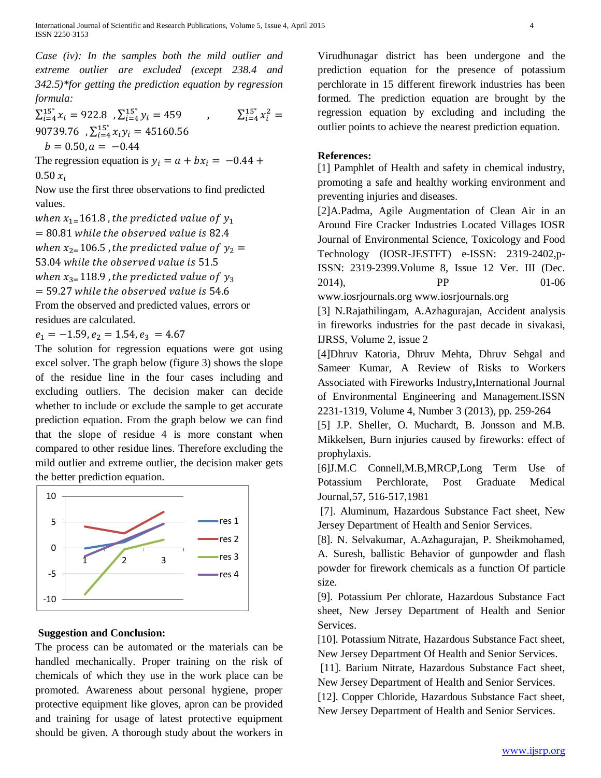*Case (iv): In the samples both the mild outlier and extreme outlier are excluded (except 238.4 and 342.5)\*for getting the prediction equation by regression formula:*

 $\sum_{i=4}^{15^*} x_i = 922.8$ ,  $\sum_{i=4}^{15^*} y_i = 459$  ${}^{15^*}_{i=4} y_i = 459$ ,  $\Sigma_{i=4}^{15^*} x_i^2 =$ 90739.76 , $\sum_{i=4}^{15^*} x_i y_i = 45160.56$  $b = 0.50, a = -0.44$ 

The regression equation is  $y_i = a + bx_i = -0.44 +$  $0.50 x_i$ 

Now use the first three observations to find predicted values.

when  $x_{1}$ = 161.8, the predicted value of  $y_1$  $= 80.81$  while the observed value is 82.4 when  $x_{2=}106.5$ , the predicted value of  $y_2 =$ 53.04 while the observed value is 51.5 when  $x_{3}=118.9$ , the predicted value of  $y_3$  $=$  59.27 while the observed value is 54.6 From the observed and predicted values, errors or residues are calculated.

 $e_1 = -1.59, e_2 = 1.54, e_3 = 4.67$ 

The solution for regression equations were got using excel solver. The graph below (figure 3) shows the slope of the residue line in the four cases including and excluding outliers. The decision maker can decide whether to include or exclude the sample to get accurate prediction equation. From the graph below we can find that the slope of residue 4 is more constant when compared to other residue lines. Therefore excluding the mild outlier and extreme outlier, the decision maker gets the better prediction equation.



## **Suggestion and Conclusion:**

The process can be automated or the materials can be handled mechanically. Proper training on the risk of chemicals of which they use in the work place can be promoted. Awareness about personal hygiene, proper protective equipment like gloves, apron can be provided and training for usage of latest protective equipment should be given. A thorough study about the workers in Virudhunagar district has been undergone and the prediction equation for the presence of potassium perchlorate in 15 different firework industries has been formed. The prediction equation are brought by the regression equation by excluding and including the outlier points to achieve the nearest prediction equation.

### **References:**

[1] Pamphlet of Health and safety in chemical industry, promoting a safe and healthy working environment and preventing injuries and diseases.

[2]A.Padma, Agile Augmentation of Clean Air in an Around Fire Cracker Industries Located Villages IOSR Journal of Environmental Science, Toxicology and Food Technology (IOSR-JESTFT) e-ISSN: 2319-2402,p-ISSN: 2319-2399.Volume 8, Issue 12 Ver. III (Dec. 2014), PP 01-06

www.iosrjournals.org [www.iosrjournals.org](http://www.iosrjournals.org/)

[3] N.Rajathilingam, A.Azhagurajan, Accident analysis in fireworks industries for the past decade in sivakasi, IJRSS, Volume 2, issue 2

[4]Dhruv Katoria, Dhruv Mehta, Dhruv Sehgal and Sameer Kumar, A Review of Risks to Workers Associated with Fireworks Industry**,**International Journal of Environmental Engineering and Management.ISSN 2231-1319, Volume 4, Number 3 (2013), pp. 259-264

[5] J.P. Sheller, O. Muchardt, B. Jonsson and M.B. Mikkelsen, Burn injuries caused by fireworks: effect of prophylaxis.

[6]J.M.C Connell,M.B,MRCP,Long Term Use of Potassium Perchlorate, Post Graduate Medical Journal,57, 516-517,1981

[7]. Aluminum, Hazardous Substance Fact sheet, New Jersey Department of Health and Senior Services.

[8]. N. Selvakumar, A.Azhagurajan, P. Sheikmohamed, A. Suresh, ballistic Behavior of gunpowder and flash powder for firework chemicals as a function Of particle size.

[9]. Potassium Per chlorate, Hazardous Substance Fact sheet, New Jersey Department of Health and Senior Services.

[10]. Potassium Nitrate, Hazardous Substance Fact sheet, New Jersey Department Of Health and Senior Services.

[11]. Barium Nitrate, Hazardous Substance Fact sheet, New Jersey Department of Health and Senior Services.

[12]. Copper Chloride, Hazardous Substance Fact sheet, New Jersey Department of Health and Senior Services.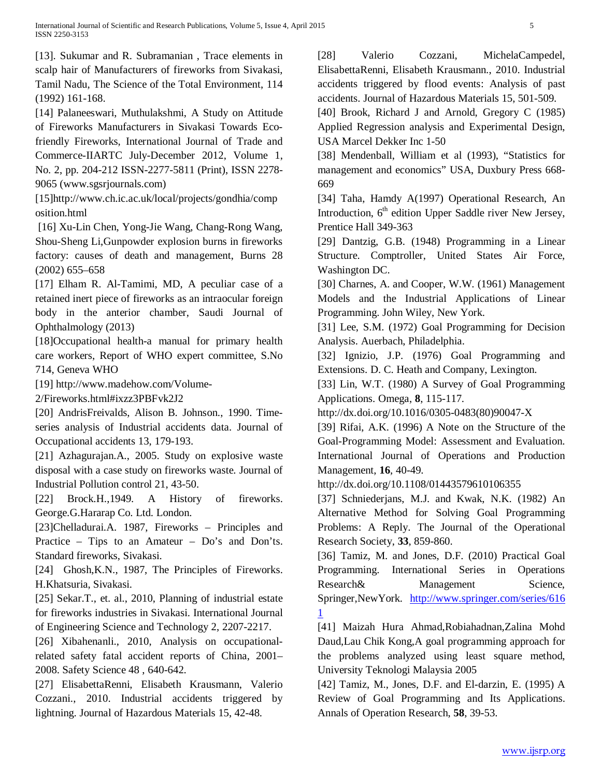[13]. Sukumar and R. Subramanian , Trace elements in scalp hair of Manufacturers of fireworks from Sivakasi, Tamil Nadu, The Science of the Total Environment, 114 (1992) 161-168.

[14] Palaneeswari, Muthulakshmi, A Study on Attitude of Fireworks Manufacturers in Sivakasi Towards Ecofriendly Fireworks, International Journal of Trade and Commerce-IIARTC July-December 2012, Volume 1, No. 2, pp. 204-212 ISSN-2277-5811 (Print), ISSN 2278- 9065 (www.sgsrjournals.com)

[15]http://www.ch.ic.ac.uk/local/projects/gondhia/comp osition.html

[16] Xu-Lin Chen, Yong-Jie Wang, Chang-Rong Wang, Shou-Sheng Li,Gunpowder explosion burns in fireworks factory: causes of death and management, Burns 28 (2002) 655–658

[17] Elham R. Al-Tamimi, MD, A peculiar case of a retained inert piece of fireworks as an intraocular foreign body in the anterior chamber, Saudi Journal of Ophthalmology (2013)

[18]Occupational health-a manual for primary health care workers, Report of WHO expert committee, S.No 714, Geneva WHO

[19] [http://www.madehow.com/Volume-](http://www.madehow.com/Volume-2/Fireworks.html#ixzz3PBFvk2J2)

[2/Fireworks.html#ixzz3PBFvk2J2](http://www.madehow.com/Volume-2/Fireworks.html#ixzz3PBFvk2J2)

[20] AndrisFreivalds, Alison B. Johnson., 1990. Timeseries analysis of Industrial accidents data. Journal of Occupational accidents 13, 179-193.

[21] Azhagurajan.A., 2005. Study on explosive waste disposal with a case study on fireworks waste. Journal of Industrial Pollution control 21, 43-50.

[22] Brock.H.,1949. A History of fireworks. George.G.Hararap Co. Ltd. London.

[23]Chelladurai.A. 1987, Fireworks – Principles and Practice – Tips to an Amateur – Do's and Don'ts. Standard fireworks, Sivakasi.

[24] Ghosh, K.N., 1987, The Principles of Fireworks. H.Khatsuria, Sivakasi.

[25] Sekar.T., et. al., 2010, Planning of industrial estate for fireworks industries in Sivakasi. International Journal of Engineering Science and Technology 2, 2207-2217.

[26] Xibahenanli., 2010, Analysis on occupationalrelated safety fatal accident reports of China, 2001– 2008. Safety Science 48 , 640-642.

[27] ElisabettaRenni, Elisabeth Krausmann, Valerio Cozzani., 2010. Industrial accidents triggered by lightning. Journal of Hazardous Materials 15, 42-48.

[28] Valerio Cozzani, MichelaCampedel, ElisabettaRenni, Elisabeth Krausmann., 2010. Industrial accidents triggered by flood events: Analysis of past accidents. Journal of Hazardous Materials 15, 501-509.

[40] Brook, Richard J and Arnold, Gregory C (1985) Applied Regression analysis and Experimental Design, USA Marcel Dekker Inc 1-50

[38] Mendenball, William et al (1993), "Statistics for management and economics" USA, Duxbury Press 668- 669

[34] Taha, Hamdy A(1997) Operational Research, An Introduction,  $6<sup>th</sup>$  edition Upper Saddle river New Jersey, Prentice Hall 349-363

[29] Dantzig, G.B. (1948) Programming in a Linear Structure. Comptroller, United States Air Force, Washington DC.

[30] Charnes, A. and Cooper, W.W. (1961) Management Models and the Industrial Applications of Linear Programming. John Wiley, New York.

[31] Lee, S.M. (1972) Goal Programming for Decision Analysis. Auerbach, Philadelphia.

[32] Ignizio, J.P. (1976) Goal Programming and Extensions. D. C. Heath and Company, Lexington.

[33] Lin, W.T. (1980) A Survey of Goal Programming Applications. Omega, **8**, 115-117.

http://dx.doi.org/10.1016/0305-0483(80)90047-X

[39] Rifai, A.K. (1996) A Note on the Structure of the Goal-Programming Model: Assessment and Evaluation. International Journal of Operations and Production Management, **16**, 40-49.

http://dx.doi.org/10.1108/01443579610106355

[37] Schniederjans, M.J. and Kwak, N.K. (1982) An Alternative Method for Solving Goal Programming Problems: A Reply. The Journal of the Operational Research Society, **33**, 859-860.

[36] Tamiz, M. and Jones, D.F. (2010) Practical Goal Programming. International Series in Operations Research & Management Science, Springer,NewYork. [http://www.springer.com/series/616](http://www.springer.com/series/6161) [1](http://www.springer.com/series/6161)

[41] Maizah Hura Ahmad,Robiahadnan,Zalina Mohd Daud,Lau Chik Kong,A goal programming approach for the problems analyzed using least square method, University Teknologi Malaysia 2005

[42] Tamiz, M., Jones, D.F. and El-darzin, E. (1995) A Review of Goal Programming and Its Applications. Annals of Operation Research, **58**, 39-53.